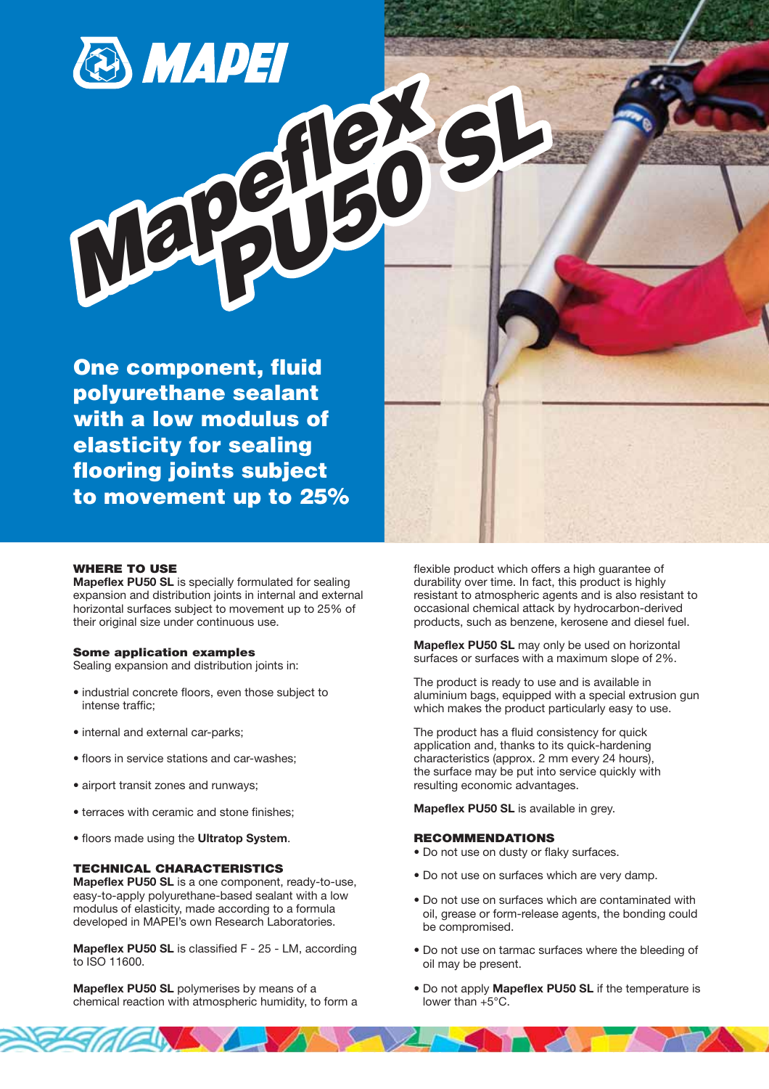*Mapeflex PU50 SL*

**One component, fluid polyurethane sealant with a low modulus of elasticity for sealing flooring joints subject to movement up to 25%**

### **WHERE TO USE**

**Mapeflex PU50 SL** is specially formulated for sealing expansion and distribution joints in internal and external horizontal surfaces subject to movement up to 25% of their original size under continuous use.

#### **Some application examples**

Sealing expansion and distribution joints in:

- industrial concrete floors, even those subject to intense traffic;
- internal and external car-parks;
- floors in service stations and car-washes;
- airport transit zones and runways;
- terraces with ceramic and stone finishes;
- floors made using the **Ultratop System**.

### **TECHNICAL CHARACTERISTICS**

**Mapeflex PU50 SL** is a one component, ready-to-use, easy-to-apply polyurethane-based sealant with a low modulus of elasticity, made according to a formula developed in MAPEI's own Research Laboratories.

**Mapeflex PU50 SL** is classified F - 25 - LM, according to ISO 11600.

**Mapeflex PU50 SL** polymerises by means of a chemical reaction with atmospheric humidity, to form a flexible product which offers a high guarantee of durability over time. In fact, this product is highly resistant to atmospheric agents and is also resistant to occasional chemical attack by hydrocarbon-derived products, such as benzene, kerosene and diesel fuel.

**Mapeflex PU50 SL** may only be used on horizontal surfaces or surfaces with a maximum slope of 2%.

The product is ready to use and is available in aluminium bags, equipped with a special extrusion gun which makes the product particularly easy to use.

The product has a fluid consistency for quick application and, thanks to its quick-hardening characteristics (approx. 2 mm every 24 hours), the surface may be put into service quickly with resulting economic advantages.

**Mapeflex PU50 SL** is available in grey.

#### **RECOMMENDATIONS**

- Do not use on dusty or flaky surfaces.
- Do not use on surfaces which are very damp.
- Do not use on surfaces which are contaminated with oil, grease or form-release agents, the bonding could be compromised.
- Do not use on tarmac surfaces where the bleeding of oil may be present.
- Do not apply **Mapeflex PU50 SL** if the temperature is lower than +5°C.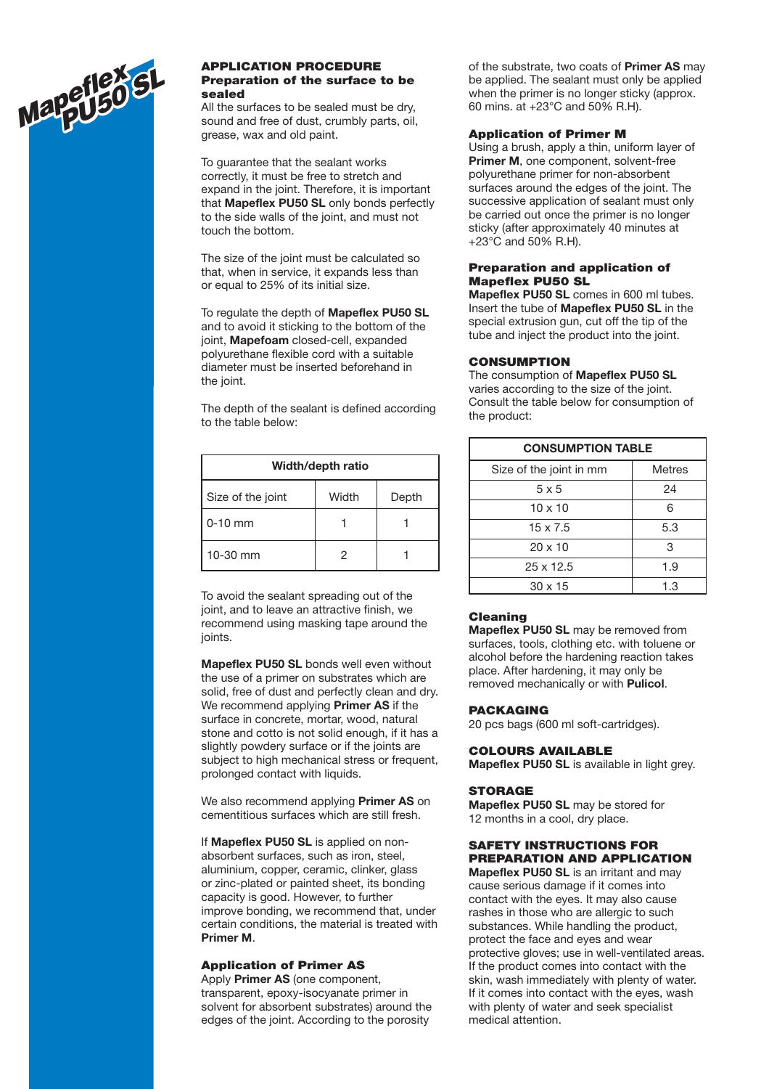

#### **APPLICATION PROCEDURE Preparation of the surface to be sealed**

All the surfaces to be sealed must be dry, sound and free of dust, crumbly parts, oil, grease, wax and old paint.

To guarantee that the sealant works correctly, it must be free to stretch and expand in the joint. Therefore, it is important that **Mapeflex PU50 SL** only bonds perfectly to the side walls of the joint, and must not touch the bottom.

The size of the joint must be calculated so that, when in service, it expands less than or equal to 25% of its initial size.

To regulate the depth of **Mapeflex PU50 SL** and to avoid it sticking to the bottom of the joint, **Mapefoam** closed-cell, expanded polyurethane flexible cord with a suitable diameter must be inserted beforehand in the joint.

The depth of the sealant is defined according to the table below:

| Width/depth ratio |       |       |  |  |
|-------------------|-------|-------|--|--|
| Size of the joint | Width | Depth |  |  |
| $0-10$ mm         |       |       |  |  |
| 10-30 mm          | 2     |       |  |  |

To avoid the sealant spreading out of the joint, and to leave an attractive finish, we recommend using masking tape around the joints.

**Mapeflex PU50 SL** bonds well even without the use of a primer on substrates which are solid, free of dust and perfectly clean and dry. We recommend applying **Primer AS** if the surface in concrete, mortar, wood, natural stone and cotto is not solid enough, if it has a slightly powdery surface or if the joints are subject to high mechanical stress or frequent, prolonged contact with liquids.

We also recommend applying **Primer AS** on cementitious surfaces which are still fresh.

If **Mapeflex PU50 SL** is applied on nonabsorbent surfaces, such as iron, steel, aluminium, copper, ceramic, clinker, glass or zinc-plated or painted sheet, its bonding capacity is good. However, to further improve bonding, we recommend that, under certain conditions, the material is treated with **Primer M**.

### **Application of Primer AS**

Apply **Primer AS** (one component, transparent, epoxy-isocyanate primer in solvent for absorbent substrates) around the edges of the joint. According to the porosity

of the substrate, two coats of **Primer AS** may be applied. The sealant must only be applied when the primer is no longer sticky (approx. 60 mins. at +23°C and 50% R.H).

### **Application of Primer M**

Using a brush, apply a thin, uniform layer of **Primer M**, one component, solvent-free polyurethane primer for non-absorbent surfaces around the edges of the joint. The successive application of sealant must only be carried out once the primer is no longer sticky (after approximately 40 minutes at +23°C and 50% R.H).

### **Preparation and application of Mapeflex PU50 SL**

**Mapeflex PU50 SL** comes in 600 ml tubes. Insert the tube of **Mapeflex PU50 SL** in the special extrusion gun, cut off the tip of the tube and inject the product into the joint.

### **CONSUMPTION**

The consumption of **Mapeflex PU50 SL** varies according to the size of the joint. Consult the table below for consumption of the product:

| <b>CONSUMPTION TABLE</b> |               |  |
|--------------------------|---------------|--|
| Size of the joint in mm  | <b>Metres</b> |  |
| $5 \times 5$             | 24            |  |
| $10 \times 10$           | 6             |  |
| $15 \times 7.5$          | 5.3           |  |
| $20 \times 10$           | 3             |  |
| $25 \times 12.5$         | 1.9           |  |
| $30 \times 15$           | 1.3           |  |

## **Cleaning**

**Mapeflex PU50 SL** may be removed from surfaces, tools, clothing etc. with toluene or alcohol before the hardening reaction takes place. After hardening, it may only be removed mechanically or with **Pulicol**.

### **PACKAGING**

20 pcs bags (600 ml soft-cartridges).

### **COLOURS AVAILABLE**

**Mapeflex PU50 SL** is available in light grey.

### **STORAGE**

**Mapeflex PU50 SL** may be stored for 12 months in a cool, dry place.

# **SAFETY INSTRUCTIONS FOR PREPARATION AND APPLICATION**

**Mapeflex PU50 SL** is an irritant and may cause serious damage if it comes into contact with the eyes. It may also cause rashes in those who are allergic to such substances. While handling the product, protect the face and eyes and wear protective gloves; use in well-ventilated areas. If the product comes into contact with the skin, wash immediately with plenty of water. If it comes into contact with the eyes, wash with plenty of water and seek specialist medical attention.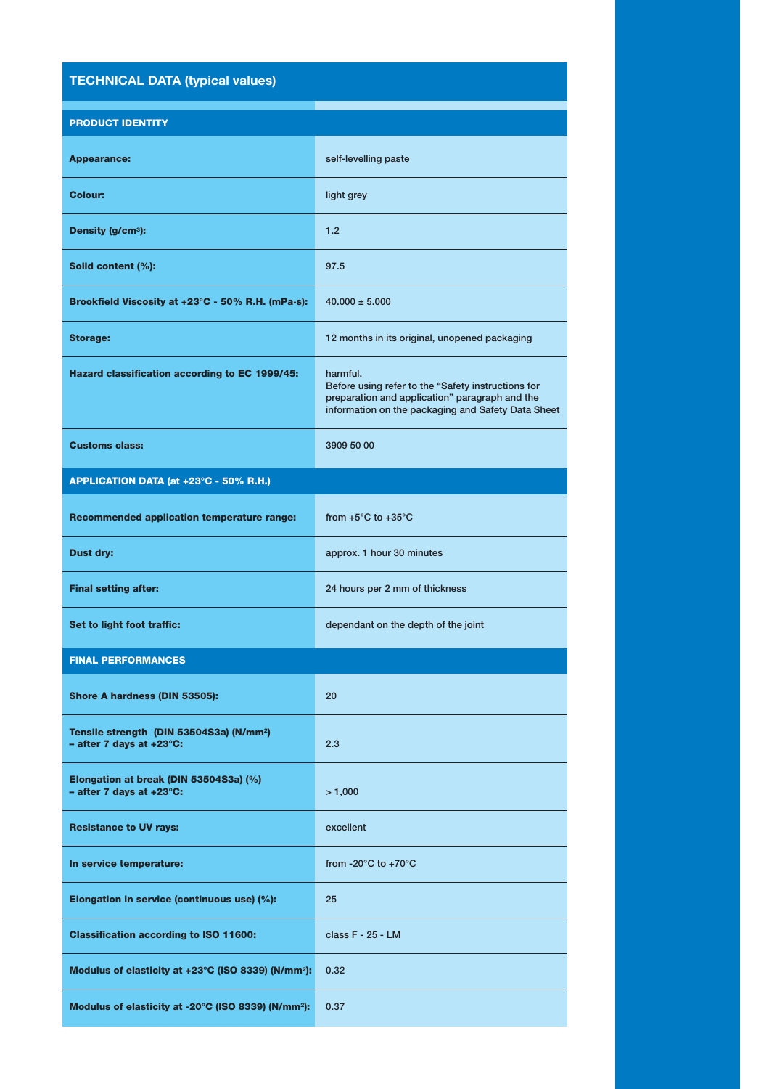# **TECHNICAL DATA (typical values)**

|  | <b>PRODUCT IDENTITY</b> |
|--|-------------------------|
|  |                         |

| <b>Appearance:</b>                                                                           | self-levelling paste                                                                                                                                                   |  |  |  |
|----------------------------------------------------------------------------------------------|------------------------------------------------------------------------------------------------------------------------------------------------------------------------|--|--|--|
| Colour:                                                                                      | light grey                                                                                                                                                             |  |  |  |
| Density (g/cm <sup>3</sup> ):                                                                | 1.2                                                                                                                                                                    |  |  |  |
| Solid content (%):                                                                           | 97.5                                                                                                                                                                   |  |  |  |
| Brookfield Viscosity at +23°C - 50% R.H. (mPa-s):                                            | $40.000 \pm 5.000$                                                                                                                                                     |  |  |  |
| <b>Storage:</b>                                                                              | 12 months in its original, unopened packaging                                                                                                                          |  |  |  |
| Hazard classification according to EC 1999/45:                                               | harmful.<br>Before using refer to the "Safety instructions for<br>preparation and application" paragraph and the<br>information on the packaging and Safety Data Sheet |  |  |  |
| <b>Customs class:</b>                                                                        | 3909 50 00                                                                                                                                                             |  |  |  |
| APPLICATION DATA (at +23°C - 50% R.H.)                                                       |                                                                                                                                                                        |  |  |  |
| <b>Recommended application temperature range:</b>                                            | from $+5^{\circ}$ C to $+35^{\circ}$ C                                                                                                                                 |  |  |  |
| <b>Dust dry:</b>                                                                             | approx. 1 hour 30 minutes                                                                                                                                              |  |  |  |
| <b>Final setting after:</b>                                                                  | 24 hours per 2 mm of thickness                                                                                                                                         |  |  |  |
| Set to light foot traffic:                                                                   | dependant on the depth of the joint                                                                                                                                    |  |  |  |
| <b>FINAL PERFORMANCES</b>                                                                    |                                                                                                                                                                        |  |  |  |
| Shore A hardness (DIN 53505):                                                                | 20                                                                                                                                                                     |  |  |  |
| Tensile strength (DIN 53504S3a) (N/mm <sup>2</sup> )<br>$-$ after 7 days at $+23^{\circ}$ C: | 2.3                                                                                                                                                                    |  |  |  |
| Elongation at break (DIN 53504S3a) (%)<br>$-$ after 7 days at $+23^{\circ}$ C:               | > 1,000                                                                                                                                                                |  |  |  |
| <b>Resistance to UV rays:</b>                                                                | excellent                                                                                                                                                              |  |  |  |
| In service temperature:                                                                      | from -20 $\degree$ C to +70 $\degree$ C                                                                                                                                |  |  |  |
| Elongation in service (continuous use) (%):                                                  | 25                                                                                                                                                                     |  |  |  |
| <b>Classification according to ISO 11600:</b>                                                | class F - 25 - LM                                                                                                                                                      |  |  |  |
| Modulus of elasticity at +23°C (ISO 8339) (N/mm <sup>2</sup> ):                              | 0.32                                                                                                                                                                   |  |  |  |
| Modulus of elasticity at -20°C (ISO 8339) (N/mm <sup>2</sup> ):                              | 0.37                                                                                                                                                                   |  |  |  |